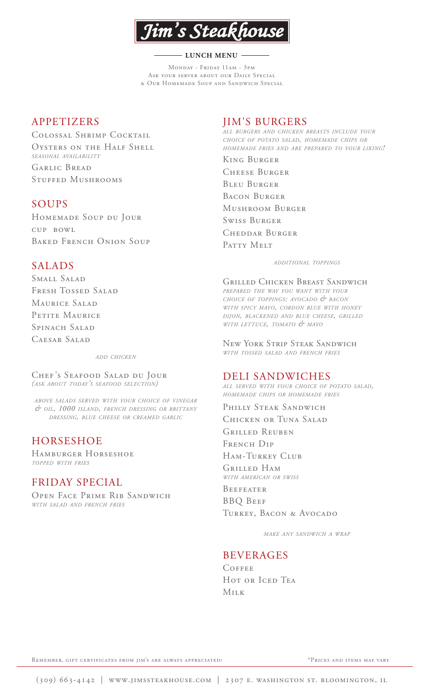

#### - LUNCH MENU -

Monday - Friday 11am - 3pm ASK YOUR SERVER ABOUT OUR DAILY SPECIAL & Our Homemade Soup and Sandwich Special

## APPETIZERS

Colossal Shrimp Cocktail Oysters on the Half Shell *SEASONAL AVAILABILITY* Garlic Bread

Stuffed Mushrooms

# SOUPS

Homemade Soup du Jour cup bowl BAKED FRENCH ONION SOUP

# SALADS

Small Salad Fresh Tossed Salad MAURICE SALAD PETITE MAURICE SPINACH SALAD Caesar Salad

*ADD CHICKEN*

Chef 's Seafood Salad du Jour *(ASK ABOUT TODAY'S SEAFOOD SELECTION)*

*ABOVE SALADS SERVED WITH YOUR CHOICE OF VINEGAR & OIL, 1000 ISLAND, FRENCH DRESSING OR BRITTANY DRESSING, BLUE CHEESE OR CREAMED GARLIC*

# HORSESHOE

Hamburger Horseshoe *TOPPED WITH FRIES*

# FRIDAY SPECIAL

Open Face Prime Rib Sandwich *WITH SALAD AND FRENCH FRIES*

# JIM'S BURGERS

*ALL BURGERS AND CHICKEN BREASTS INCLUDE YOUR CHOICE OF POTATO SALAD, HOMEMADE CHIPS OR HOMEMADE FRIES AND ARE PREPARED TO YOUR LIKING!*

King Burger Cheese Burger Bleu Burger Bacon Burger Mushroom Burger Swiss Burger Cheddar Burger PATTY MELT

*ADDITIONAL TOPPINGS*

Grilled Chicken Breast Sandwich *PREPARED THE WAY YOU WANT WITH YOUR CHOICE OF TOPPINGS: AVOCADO & BACON WITH SPICY MAYO, CORDON BLUE WITH HONEY DIJON, BLACKENED AND BLUE CHEESE, GRILLED WITH LETTUCE, TOMATO & MAYO*

New York Strip Steak Sandwich *WITH TOSSED SALAD AND FRENCH FRIES*

## DELI SANDWICHES

*ALL SERVED WITH YOUR CHOICE OF POTATO SALAD, HOMEMADE CHIPS OR HOMEMADE FRIES*

PHILLY STEAK SANDWICH

Chicken or Tuna Salad

Grilled Reuben FRENCH DIP

Ham-Turkey Club

Grilled Ham *WITH AMERICAN OR SWISS*

**BEEFEATER** BBQ Beef TURKEY, BACON & AVOCADO

*MAKE ANY SANDWICH A WRAP*

# BEVERAGES

**COFFEE** HOT OR ICED TEA Milk

REMEMBER, GIFT CERTIFICATES FROM JIM'S ARE ALWAYS APPRECIATED! \* \* PRICES AND ITEMS MAY VARY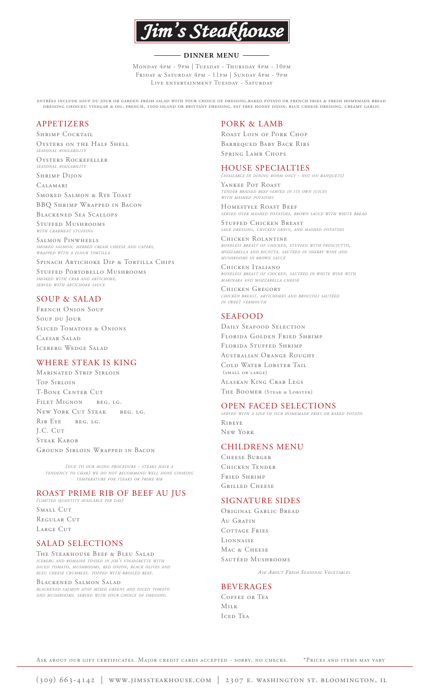

#### - DINNER MENU -

Monday 4pm - 9pm | Tuesday - Thursday 4pm - 10pm Friday & Saturday 4pm - 11pm | Sunday 4pm - 9pm LIVE ENTERTAINMENT TUESDAY - SATURDAY

entrées include soup du jour or garden fresh salad with your choice of dressing,baked potato or french fries & fresh homemade bread dressing choices: vinegar & oil, french, 1000 island or brittany dressing, fat free honey dijon, blue cheese dressing, creamy garlic

### APPETIZERS

SHRIMP COCKTAIL Oysters on the Half Shell *SEASONAL AVAILABILITY*

Oysters Rockefeller *SEASONAL AVAILABILITY*

SHRIMP DIJON

Calamari

Smoked Salmon & Rye Toast BBQ Shrimp Wrapped in Bacon

Blackened Sea Scallops

Stuffed Mushrooms *WITH CRABMEAT STUFFING*

Salmon Pinwheels *SMOKED SALMON, HERBED CREAM CHEESE AND CAPERS, WRAPPED WITH A FLOUR TORTILLA*

SPINACH ARTICHOKE DIP & TORTILLA CHIPS Stuffed Portobello Mushrooms *SMOKED WITH CRAB AND ARTICHOKE, SERVED WITH ARTICHOKE SAUCE*

### SOUP & SALAD

FRENCH ONION SOUP Soup du Jour SLICED TOMATOES & ONIONS CAESAR SALAD Iceberg Wedge Salad

#### WHERE STEAK IS KING

Marinated Strip Sirloin Top Sirloin T-Bone Center Cut FILET MIGNON REG. LG. New York Cut Steak REG. LG. Rib Eye reg. lg. J.C. Cut Steak Kabob Ground Sirloin Wrapped in Bacon

*(DUE TO OUR AGING PROCEDURE - STEAKS HAVE A TENDENCY TO CHAR) WE DO NOT RECOMMEND WELL DONE COOKING TEMPERATURE FOR STEAKS OR PRIME RIB*

#### ROAST PRIME RIB OF BEEF AU JUS

*(LIMITED QUANTITY AVAILABLE PER DAY)* SMALL CUT REGULAR CUT LARGE CUT

#### SALAD SELECTIONS

The Steakhouse Beef & Bleu Salad *ICEBERG AND ROMAINE TOSSED IN JIM'S VINAIGRETTE WITH DICED TOMATO, MUSHROOMS, RED ONION, BLACK OLIVES AND BLEU CHEESE CRUMBLES. TOPPED WITH BROILED BEEF.*

#### Blackened Salmon Salad

*BLACKENED SALMON ATOP MIXED GREENS AND DICED TOMATO AND MUSHROOMS. SERVED WITH YOUR CHOICE OF DRESSING.*

### PORK & LAMB

ROAST LOIN OF PORK CHOP Barbequed Baby Back Ribs Spring Lamb Chops

### HOUSE SPECIALTIES

*(AVAILABLE IN DINING ROOM ONLY - NOT ON BANQUETS)* Yankee Pot Roast *TENDER BRAISED BEEF SERVED IN ITS OWN JUICES WITH MASHED POTATOES*

Homestyle Roast Beef *SERVED OVER MASHED POTATOES, BROWN SAUCE WITH WHITE BREAD*

STUFFED CHICKEN BREAST *SAGE DRESSING, CHICKEN GRAVY, AND MASHED POTATOES*

Chicken Rolantine *BONELESS BREAST OF CHICKEN, STUFFED WITH PROSCIUTTO, MOZZARELLA AND RICOTTA. SAUTÉED IN SHERRY WINE AND MUSHROOMS IN BROWN SAUCE*

Chicken Italiano *BONELESS BREAST OF CHICKEN, SAUTÉED IN WHITE WINE WITH MARINARA AND MOZZARELLA CHEESE*

CHICKEN GREGORY *CHICKEN BREAST, ARTICHOKES AND BROCCOLI SAUTÉED IN SWEET VERMOUTH*

### SEAFOOD

DAILY SEAFOOD SELECTION Florida Golden Fried Shrimp Florida Stuffed Shrimp

Australian Orange Roughy Cold Water Lobster Tail (small or large) Alaskan King Crab Legs The Boomer (Steak & Lobster)

#### OPEN FACED SELECTIONS

*SERVED WITH A SIDE OF OUR HOMEMADE FRIES OR BAKED POTATO* Ribeye

New York

#### CHILDRENS MENU

Cheese Burger Chicken Tender Fried Shrimp Grilled Cheese

#### SIGNATURE SIDES

Original Garlic Bread Au Gratin COTTAGE FRIES Lionnaise M<sub>AC</sub> & CHEESE Sautéed Mushrooms

*ASK ABOUT FRESH SEASONAL VEGETABLES*

#### BEVERAGES

Coffee or Tea Milk Iced Tea

Ask about our gift certificates. Major credit cards accepted - sorry, no checks. \*Prices and items may vary